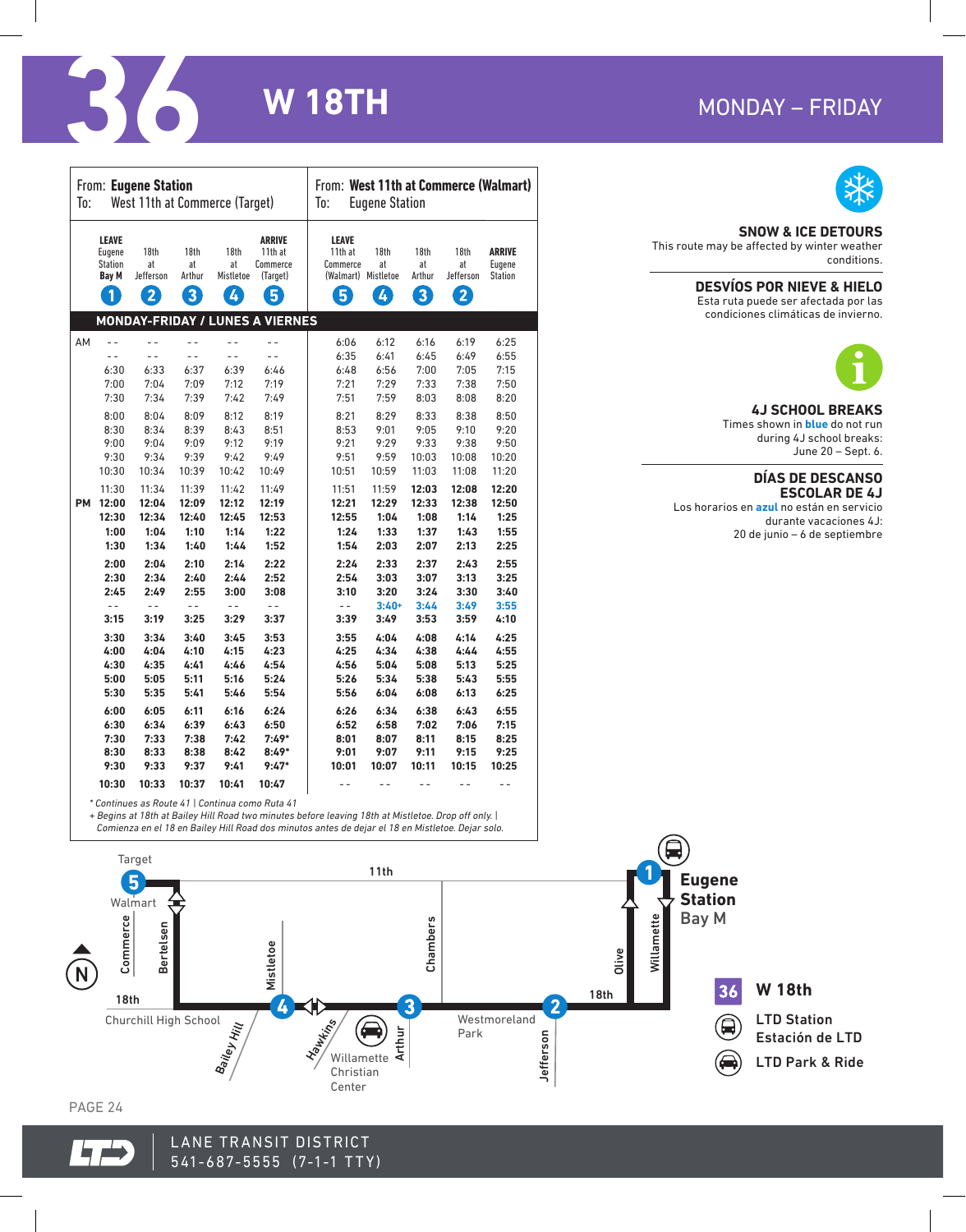# MONDAY - FRIDAY



| <b>CONTRACTOR</b> | <b>W18TH</b> | MONDAY - FRIDAY |
|-------------------|--------------|-----------------|
|                   |              |                 |

|           | From: Eugene Station<br>West 11th at Commerce (Target)<br>To:                   |                              |                           |                              | From: West 11th at Commerce (Walmart)<br>To:<br><b>Eugene Station</b> |                                                                 |                  |                           |                              |                                           |
|-----------|---------------------------------------------------------------------------------|------------------------------|---------------------------|------------------------------|-----------------------------------------------------------------------|-----------------------------------------------------------------|------------------|---------------------------|------------------------------|-------------------------------------------|
|           | <b>LEAVE</b><br>Eugene<br><b>Station</b><br><b>Bay M</b><br>$\ddot{\textbf{0}}$ | 18th<br>at<br>Jefferson<br>2 | 18th<br>at<br>Arthur<br>3 | 18th<br>at<br>Mistletoe<br>4 | <b>ARRIVE</b><br>11th at<br>Commerce<br>(Target)<br>6                 | <b>LEAVE</b><br>11th at<br>Commerce<br>(Walmart) Mistletoe<br>6 | 18th<br>at<br>Ø) | 18th<br>at<br>Arthur<br>8 | 18th<br>at<br>Jefferson<br>2 | <b>ARRIVE</b><br>Eugene<br><b>Station</b> |
|           |                                                                                 |                              |                           |                              | <b>MONDAY-FRIDAY / LUNES A VIERNES</b>                                |                                                                 |                  |                           |                              |                                           |
| AM        | $-$                                                                             | $-$                          | $ -$                      | $-$                          | $-$                                                                   | 6:06                                                            | 6:12             | 6:16                      | 6:19                         | 6:25                                      |
|           | $ -$                                                                            | $ -$                         | $ -$                      | $ -$                         | $\sim$ $\sim$                                                         | 6:35                                                            | 6:41             | 6:45                      | 6:49                         | 6:55                                      |
|           | 6:30                                                                            | 6:33                         | 6:37                      | 6:39                         | 6:46                                                                  | 6:48                                                            | 6:56             | 7:00                      | 7:05                         | 7:15                                      |
|           | 7:00                                                                            | 7:04                         | 7:09                      | 7:12                         | 7:19                                                                  | 7:21                                                            | 7:29             | 7:33                      | 7:38                         | 7:50                                      |
|           | 7:30                                                                            | 7:34                         | 7:39                      | 7:42                         | 7:49                                                                  | 7:51                                                            | 7:59             | 8:03                      | 8:08                         | 8:20                                      |
|           | 8:00                                                                            | 8:04                         | 8:09                      | 8:12                         | 8:19                                                                  | 8:21                                                            | 8:29             | 8:33                      | 8:38                         | 8:50                                      |
|           | 8:30                                                                            | 8:34                         | 8:39                      | 8:43                         | 8:51                                                                  | 8:53                                                            | 9:01             | 9:05                      | 9:10                         | 9:20                                      |
|           | 9:00                                                                            | 9:04                         | 9:09                      | 9:12                         | 9:19                                                                  | 9:21                                                            | 9:29             | 9:33                      | 9:38                         | 9:50                                      |
|           | 9:30                                                                            | 9:34                         | 9:39                      | 9:42                         | 9:49                                                                  | 9:51                                                            | 9:59             | 10:03                     | 10:08                        | 10:20                                     |
|           | 10:30                                                                           | 10:34                        | 10:39                     | 10:42                        | 10:49                                                                 | 10:51                                                           | 10:59            | 11:03                     | 11:08                        | 11:20                                     |
| <b>PM</b> | 11:30                                                                           | 11:34                        | 11:39                     | 11:42                        | 11:49                                                                 | 11:51                                                           | 11:59            | 12:03                     | 12:08                        | 12:20                                     |
|           | 12:00                                                                           | 12:04                        | 12:09                     | 12:12                        | 12:19                                                                 | 12:21                                                           | 12:29            | 12:33                     | 12:38                        | 12:50                                     |
|           | 12:30                                                                           | 12:34                        | 12:40                     | 12:45                        | 12:53                                                                 | 12:55                                                           | 1:04             | 1:08                      | 1:14                         | 1:25                                      |
|           | 1:00                                                                            | 1:04                         | 1:10                      | 1:14                         | 1:22                                                                  | 1:24                                                            | 1:33             | 1:37                      | 1:43                         | 1:55                                      |
|           | 1:30                                                                            | 1:34                         | 1:40                      | 1:44                         | 1:52                                                                  | 1:54                                                            | 2:03             | 2:07                      | 2:13                         | 2:25                                      |
|           | 2:00                                                                            | 2:04                         | 2:10                      | 2:14                         | 2:22                                                                  | 2:24                                                            | 2:33             | 2:37                      | 2:43                         | 2:55                                      |
|           | 2:30                                                                            | 2:34                         | 2:40                      | 2:44                         | 2:52                                                                  | 2:54                                                            | 3:03             | 3:07                      | 3:13                         | 3:25                                      |
|           | 2:45                                                                            | 2:49                         | 2:55                      | 3:00                         | 3:08                                                                  | 3:10                                                            | 3:20             | 3:24                      | 3:30                         | 3:40                                      |
|           | $ -$                                                                            | $\sim$ $-$                   | $\sim$ $-$                | $\sim$ $-$                   | $- -$                                                                 | $\sim$ $-$                                                      | $3:40+$          | 3:44                      | 3:49                         | 3:55                                      |
|           | 3:15                                                                            | 3:19                         | 3:25                      | 3:29                         | 3:37                                                                  | 3:39                                                            | 3:49             | 3:53                      | 3:59                         | 4:10                                      |
|           | 3:30                                                                            | 3:34                         | 3:40                      | 3:45                         | 3:53                                                                  | 3:55                                                            | 4:04             | 4:08                      | 4:14                         | 4:25                                      |
|           | 4:00                                                                            | 4:04                         | 4:10                      | 4:15                         | 4:23                                                                  | 4:25                                                            | 4:34             | 4:38                      | 4:44                         | 4:55                                      |
|           | 4:30                                                                            | 4:35                         | 4:41                      | 4:46                         | 4:54                                                                  | 4:56                                                            | 5:04             | 5:08                      | 5:13                         | 5:25                                      |
|           | 5:00                                                                            | 5:05                         | 5:11                      | 5:16                         | 5:24                                                                  | 5:26                                                            | 5:34             | 5:38                      | 5:43                         | 5:55                                      |
|           | 5:30                                                                            | 5:35                         | 5:41                      | 5:46                         | 5:54                                                                  | 5:56                                                            | 6:04             | 6:08                      | 6:13                         | 6:25                                      |
|           | 6:00                                                                            | 6:05                         | 6:11                      | 6:16                         | 6:24                                                                  | 6:26                                                            | 6:34             | 6:38                      | 6:43                         | 6:55                                      |
|           | 6:30                                                                            | 6:34                         | 6:39                      | 6:43                         | 6:50                                                                  | 6:52                                                            | 6:58             | 7:02                      | 7:06                         | 7:15                                      |
|           | 7:30                                                                            | 7:33                         | 7:38                      | 7:42                         | $7:49*$                                                               | 8:01                                                            | 8:07             | 8:11                      | 8:15                         | 8:25                                      |
|           | 8:30                                                                            | 8:33                         | 8:38                      | 8:42                         | $8:49*$                                                               | 9:01                                                            | 9:07             | 9:11                      | 9:15                         | 9:25                                      |
|           | 9:30                                                                            | 9:33                         | 9:37                      | 9:41                         | $9:47*$                                                               | 10:01                                                           | 10:07            | 10:11                     | 10:15                        | 10:25                                     |
|           | 10:30                                                                           | 10:33                        | 10:37                     | 10:41                        | 10:47                                                                 | - -                                                             | $ -$             | $- -$                     | $ -$                         | $ -$                                      |

## **SNOW & ICE DETOURS**

This route may be affected by winter weather conditions.

### **DESVÍOS POR NIEVE & HIELO**

Esta ruta puede ser afectada por las condiciones climáticas de invierno.



#### **4J SCHOOL BREAKS**

Times shown in **blue** do not run during 4J school breaks: June 20 – Sept. 6.

#### **DÍAS DE DESCANSO ESCOLAR DE 4J**

Los horarios en **azul** no están en servicio durante vacaciones 4J: 20 de junio – 6 de septiembre



*+ Begins at 18th at Bailey Hill Road two minutes before leaving 18th at Mistletoe. Drop off only. | Comienza en el 18 en Bailey Hill Road dos minutos antes de dejar el 18 en Mistletoe. Dejar solo.*



PAGE 24